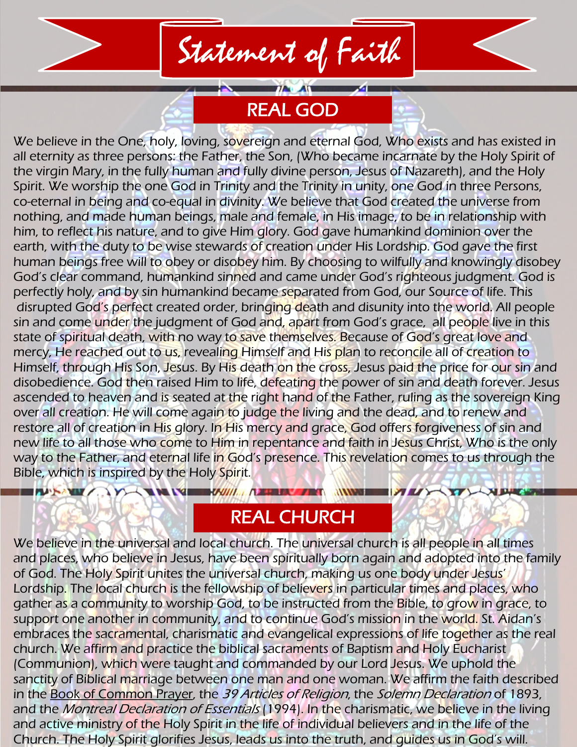# Statement of Faith

REAL GOD

We believe in the One, holy, loving, sovereign and eternal God, Who exists and has existed in all eternity as three persons: the Father, the Son, (Who became incarnate by the Holy Spirit of the virgin Mary, in the fully human and fully divine person, Jesus of Nazareth), and the Holy Spirit. We worship the one God in Trinity and the Trinity in unity, one God in three Persons, co-eternal in being and co-equal in divinity. We believe that God created the universe from nothing, and made human beings, male and female, in His image, to be in relationship with him, to reflect his nature, and to give Him glory. God gave humankind dominion over the earth, with the duty to be wise stewards of creation under His Lordship. God gave the first human beings free will to obey or disobey him. By choosing to wilfully and knowingly disobey God's clear command, humankind sinned and came under God's righteous judgment. God is perfectly holy, and by sin humankind became separated from God, our Source of life. This disrupted God's perfect created order, bringing death and disunity into the world. All people sin and come under the judgment of God and, apart from God's grace, all people live in this state of spiritual death, with no way to save themselves. Because of God's great love and mercy, He reached out to us, revealing Himself and His plan to reconcile all of creation to Himself, through His Son, Jesus. By His death on the cross, Jesus paid the price for our sin and disobedience. God then raised Him to life, defeating the power of sin and death forever. Jesus ascended to heaven and is seated at the right hand of the Father, ruling as the sovereign King over all creation. He will come again to judge the living and the dead, and to renew and restore all of creation in His glory. In His mercy and grace, God offers forgiveness of sin and new life to all those who come to Him in repentance and faith in Jesus Christ, Who is the only way to the Father, and eternal life in God's presence. This revelation comes to us through the Bible, which is inspired by the Holy Spirit.

#### REAL CHURCH

**INV** 

**NEWS** 

**THE REPORT OF A PERIODICAL STATE OF A PARTICULAR AND RESIDENCE** 

**EXPLANATION** 

We believe in the universal and local church. The universal church is all people in all times and places, who believe in Jesus, have been spiritually born again and adopted into the family of God. The Holy Spirit unites the universal church, making us one body under Jesus' Lordship. The local church is the fellowship of believers in particular times and places, who gather as a community to worship God, to be instructed from the Bible, to grow in grace, to support one another in community, and to continue God's mission in the world. St. Aidan's embraces the sacramental, charismatic and evangelical expressions of life together as the real church. We affirm and practice the biblical sacraments of Baptism and Holy Eucharist (Communion), which were taught and commanded by our Lord Jesus. We uphold the sanctity of Biblical marriage between one man and one woman. We affirm the faith described in the Book of Common Prayer, the 39 Articles of Religion, the Solemn Declaration of 1893, and the *Montreal Declaration of Essentials* (1994). In the charismatic, we believe in the living and active ministry of the Holy Spirit in the life of individual believers and in the life of the Church. The Holy Spirit glorifies Jesus, leads us into the truth, and guides us in God's will.